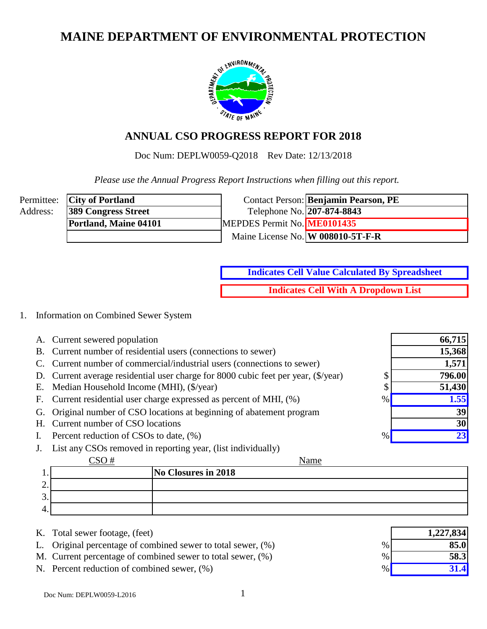# **MAINE DEPARTMENT OF ENVIRONMENTAL PROTECTION**



## **ANNUAL CSO PROGRESS REPORT FOR 2018**

Doc Num: DEPLW0059-Q2018 Rev Date: 12/13/2018

 *Please use the Annual Progress Report Instructions when filling out this report.*

|          | Permittee: <b>City of Portland</b> |                             | Contact Person: Benjamin Pearson, PE |
|----------|------------------------------------|-----------------------------|--------------------------------------|
| Address: | <b>389 Congress Street</b>         | Telephone No. 207-874-8843  |                                      |
|          | Portland, Maine 04101              | MEPDES Permit No. ME0101435 |                                      |
|          |                                    |                             | Maine License No. W 008010-5T-F-R    |

**Indicates Cell Value Calculated By Spreadsheet Indicates Cell With A Dropdown List**

#### 1. Information on Combined Sewer System

- A. Current sewered population
- B. Current number of residential users (connections to sewer)
- C. Current number of commercial/industrial users (connections to sewer)
- D. Current average residential user charge for 8000 cubic feet per year,  $(\frac{f}{g})$  (\$/year) \$
- E. Median Household Income (MHI),  $(\frac{5}{\sqrt{2}})$  \$
- F. Current residential user charge expressed as percent of MHI,  $(\%)$  %
- G. Original number of CSO locations at beginning of abatement program
- H. Current number of CSO locations
- I. Percent reduction of CSOs to date,  $(\% )$
- J. List any CSOs removed in reporting year, (list individually)

#### $CSO#$

Name

|          | $\sim$ $\sim$ $\sim$ $\sim$ | 1 vanie             |
|----------|-----------------------------|---------------------|
|          |                             | No Closures in 2018 |
| <u>.</u> |                             |                     |
| ╭<br>J.  |                             |                     |
| 4.       |                             |                     |

- K. Total sewer footage, (feet)
- L. Original percentage of combined sewer to total sewer,  $(\%)$
- M. Current percentage of combined sewer to total sewer,  $(\%)$
- N. Percent reduction of combined sewer,  $(\%)$

|      | 1,227,834 |
|------|-----------|
| $\%$ | 85.0      |
| $\%$ | 58.3      |
| $\%$ | 31.4      |

**796.00 51,430**

**15,368 1,571**

**66,715**

**1.55**

**23**

**39 30**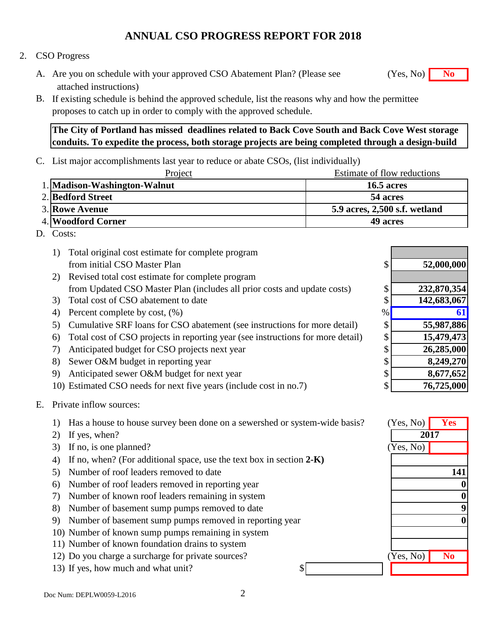#### 2. CSO Progress

- A. Are you on schedule with your approved CSO Abatement Plan? (Please see **No** (Yes, No) **No** attached instructions)
- B. If existing schedule is behind the approved schedule, list the reasons why and how the permittee proposes to catch up in order to comply with the approved schedule.

**The City of Portland has missed deadlines related to Back Cove South and Back Cove West storage conduits. To expedite the process, both storage projects are being completed through a design-build** 

C. List major accomplishments last year to reduce or abate CSOs, (list individually)

| Project                      | Estimate of flow reductions   |
|------------------------------|-------------------------------|
| 1. Madison-Washington-Walnut | <b>16.5 acres</b>             |
| 2. Bedford Street            | 54 acres                      |
| <b>3. Rowe Avenue</b>        | 5.9 acres, 2,500 s.f. wetland |
| 4. Woodford Corner           | 49 acres                      |

D. Costs:

|    | Total original cost estimate for complete program                               |    |             |
|----|---------------------------------------------------------------------------------|----|-------------|
|    | from initial CSO Master Plan                                                    | \$ | 52,000,000  |
| 2) | Revised total cost estimate for complete program                                |    |             |
|    | from Updated CSO Master Plan (includes all prior costs and update costs)        | \$ | 232,870,354 |
| 3) | Total cost of CSO abatement to date                                             | \$ | 142,683,067 |
| 4) | Percent complete by cost, $(\%)$                                                | %  | <b>6</b>    |
| 5) | Cumulative SRF loans for CSO abatement (see instructions for more detail)       | \$ | 55,987,886  |
| 6) | Total cost of CSO projects in reporting year (see instructions for more detail) | \$ | 15,479,473  |
|    | Anticipated budget for CSO projects next year                                   | \$ | 26,285,000  |
| 8) | Sewer O&M budget in reporting year                                              | \$ | 8,249,270   |
| 9) | Anticipated sewer O&M budget for next year                                      | \$ | 8,677,652   |
|    | 10) Estimated CSO needs for next five years (include cost in no.7)              | \$ | 76,725,000  |

- E. Private inflow sources:
	- 1) Has a house to house survey been done on a sewershed or system-wide basis? **Yes**
	- 2) If yes, when?
	- 3) If no, is one planned?
	- 4) If no, when? (For additional space, use the text box in section **2-K)**
	- 5) Number of roof leaders removed to date
	- 6) Number of roof leaders removed in reporting year
	- 7) Number of known roof leaders remaining in system
	- 8) Number of basement sump pumps removed to date
	- 9) Number of basement sump pumps removed in reporting year
	- 10) Number of known sump pumps remaining in system
	- 11) Number of known foundation drains to system
	- 12) Do you charge a surcharge for private sources?
	- 13) If yes, how much and what unit?

| (Yes, No) | <b>Yes</b>             |
|-----------|------------------------|
| 2017      |                        |
| (Yes, No) |                        |
|           |                        |
|           | 141                    |
|           | O                      |
|           | 0                      |
|           | 9                      |
|           |                        |
|           |                        |
|           |                        |
| (Yes, No) | $\overline{\text{No}}$ |
|           |                        |

(Yes, No)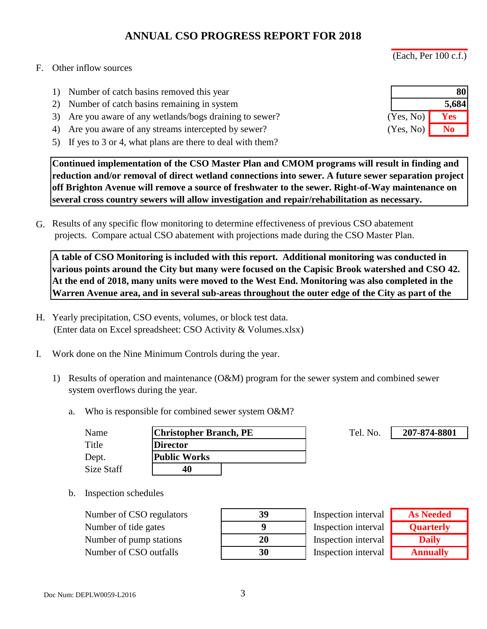(Each, Per 100 c.f.)

#### F. Other inflow sources

- 1) Number of catch basins removed this year
- 2) Number of catch basins remaining in system
- 3) Are you aware of any wetlands/bogs draining to sewer?
- 4) Are you aware of any streams intercepted by sewer?
- 5) If yes to 3 or 4, what plans are there to deal with them?

**Continued implementation of the CSO Master Plan and CMOM programs will result in finding and reduction and/or removal of direct wetland connections into sewer. A future sewer separation project off Brighton Avenue will remove a source of freshwater to the sewer. Right-of-Way maintenance on several cross country sewers will allow investigation and repair/rehabilitation as necessary.** 

G. Results of any specific flow monitoring to determine effectiveness of previous CSO abatement projects. Compare actual CSO abatement with projections made during the CSO Master Plan.

**A table of CSO Monitoring is included with this report. Additional monitoring was conducted in various points around the City but many were focused on the Capisic Brook watershed and CSO 42. At the end of 2018, many units were moved to the West End. Monitoring was also completed in the Warren Avenue area, and in several sub-areas throughout the outer edge of the City as part of the** 

- H. Yearly precipitation, CSO events, volumes, or block test data. (Enter data on Excel spreadsheet: CSO Activity & Volumes.xlsx)
- I. Work done on the Nine Minimum Controls during the year.
	- 1) Results of operation and maintenance (O&M) program for the sewer system and combined sewer system overflows during the year.
		- a. Who is responsible for combined sewer system O&M?

| Name       | <b>Christopher Branch, PE</b> | Tel. No. |
|------------|-------------------------------|----------|
| Title      | <b>Director</b>               |          |
| Dept.      | Public Works                  |          |
| Size Staff | 40                            |          |

b. Inspection schedules

Number of CSO regulators **39** Number of tide gates **9** Number of pump stations Number of CSO outfalls **30**

| 39 |
|----|
| 9  |
| 20 |
| 30 |

Inspection interval Inspection interval Inspection interval Inspection interval

| <b>As Needed</b> |
|------------------|
| <b>Quarterly</b> |
| <b>Daily</b>     |
| <b>Annually</b>  |

**207-874-8801**

|           | 80    |
|-----------|-------|
|           | 5,684 |
| (Yes, No) | Yes   |
| (Yes, No) | No    |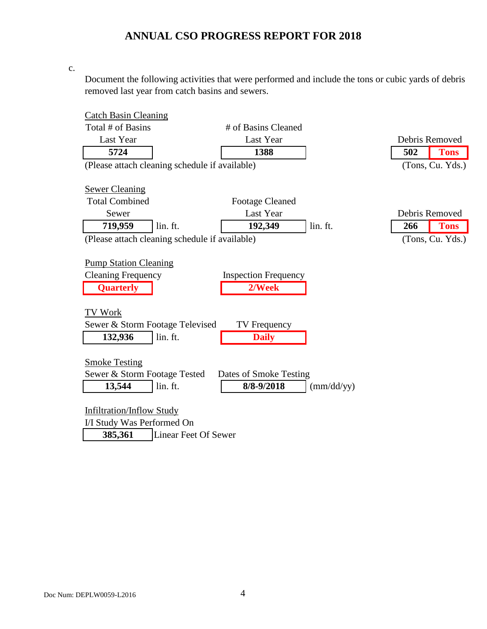c.

Document the following activities that were performed and include the tons or cubic yards of debris removed last year from catch basins and sewers.

| <b>Catch Basin Cleaning</b>      |                                                |                             |            |                    |
|----------------------------------|------------------------------------------------|-----------------------------|------------|--------------------|
| Total # of Basins                |                                                | # of Basins Cleaned         |            |                    |
| Last Year                        |                                                | Last Year                   |            | Debris Removed     |
| 5724                             |                                                | 1388                        |            | 502<br><b>Tons</b> |
|                                  | (Please attach cleaning schedule if available) |                             |            | (Tons, Cu. Yds.)   |
|                                  |                                                |                             |            |                    |
| <b>Sewer Cleaning</b>            |                                                |                             |            |                    |
| <b>Total Combined</b>            |                                                | <b>Footage Cleaned</b>      |            |                    |
| Sewer                            |                                                | Last Year                   |            | Debris Removed     |
| 719,959                          | lin. ft.                                       | 192,349                     | lin. ft.   | 266<br><b>Tons</b> |
|                                  | (Please attach cleaning schedule if available) |                             |            | (Tons, Cu. Yds.)   |
|                                  |                                                |                             |            |                    |
| <b>Pump Station Cleaning</b>     |                                                |                             |            |                    |
| <b>Cleaning Frequency</b>        |                                                | <b>Inspection Frequency</b> |            |                    |
| <b>Quarterly</b>                 |                                                | 2/Week                      |            |                    |
|                                  |                                                |                             |            |                    |
| TV Work                          |                                                |                             |            |                    |
| Sewer & Storm Footage Televised  |                                                | <b>TV</b> Frequency         |            |                    |
| 132,936                          | lin. ft.                                       | <b>Daily</b>                |            |                    |
|                                  |                                                |                             |            |                    |
| <b>Smoke Testing</b>             |                                                |                             |            |                    |
| Sewer & Storm Footage Tested     |                                                | Dates of Smoke Testing      |            |                    |
| 13,544                           | lin. ft.                                       | 8/8-9/2018                  | (mm/dd/yy) |                    |
|                                  |                                                |                             |            |                    |
| <b>Infiltration/Inflow Study</b> |                                                |                             |            |                    |
| I/I Study Was Performed On       |                                                |                             |            |                    |
| 385,361                          | <b>Linear Feet Of Sewer</b>                    |                             |            |                    |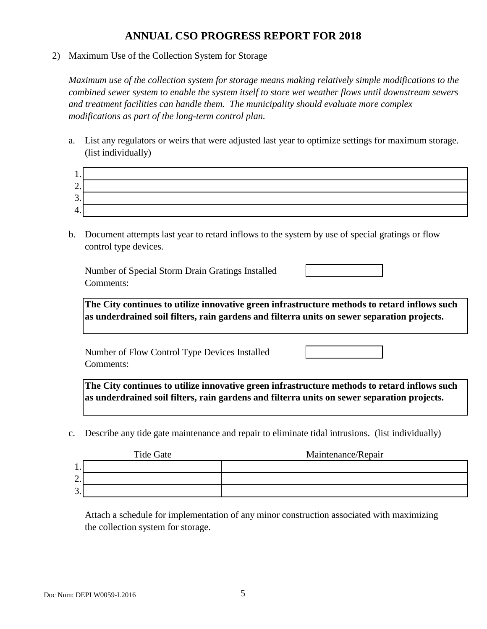2) Maximum Use of the Collection System for Storage

*Maximum use of the collection system for storage means making relatively simple modifications to the combined sewer system to enable the system itself to store wet weather flows until downstream sewers and treatment facilities can handle them. The municipality should evaluate more complex modifications as part of the long-term control plan.*

a. List any regulators or weirs that were adjusted last year to optimize settings for maximum storage. (list individually)

| . .                            |  |
|--------------------------------|--|
| $\overline{\phantom{0}}$<br>∠. |  |
| ⌒<br>J.                        |  |
| . .                            |  |

b. Document attempts last year to retard inflows to the system by use of special gratings or flow control type devices.

Number of Special Storm Drain Gratings Installed Comments:

**The City continues to utilize innovative green infrastructure methods to retard inflows such as underdrained soil filters, rain gardens and filterra units on sewer separation projects.**

Number of Flow Control Type Devices Installed Comments:

**The City continues to utilize innovative green infrastructure methods to retard inflows such as underdrained soil filters, rain gardens and filterra units on sewer separation projects.**

c. Describe any tide gate maintenance and repair to eliminate tidal intrusions. (list individually)

|                      | Tide Gate | Maintenance/Repair |
|----------------------|-----------|--------------------|
| .                    |           |                    |
| ⌒<br>∠.              |           |                    |
| ⌒<br>$\mathfrak{I}.$ |           |                    |

Attach a schedule for implementation of any minor construction associated with maximizing the collection system for storage.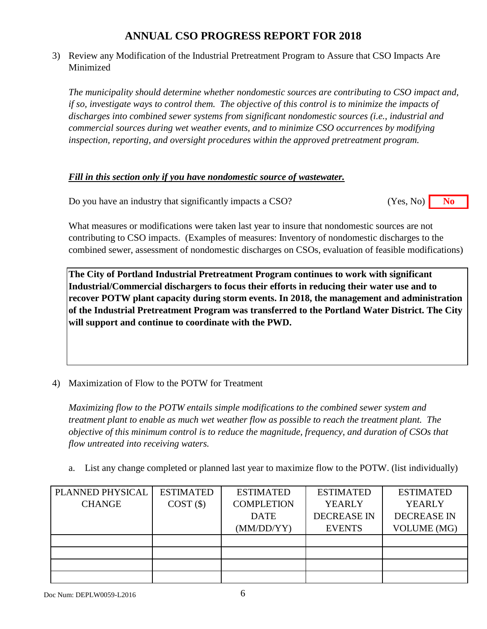3) Review any Modification of the Industrial Pretreatment Program to Assure that CSO Impacts Are Minimized

*The municipality should determine whether nondomestic sources are contributing to CSO impact and, if so, investigate ways to control them. The objective of this control is to minimize the impacts of discharges into combined sewer systems from significant nondomestic sources (i.e., industrial and commercial sources during wet weather events, and to minimize CSO occurrences by modifying inspection, reporting, and oversight procedures within the approved pretreatment program.*

#### *Fill in this section only if you have nondomestic source of wastewater.*

Do you have an industry that significantly impacts a CSO? **No** (Yes, No) **No** (Yes, No)

What measures or modifications were taken last year to insure that nondomestic sources are not contributing to CSO impacts. (Examples of measures: Inventory of nondomestic discharges to the combined sewer, assessment of nondomestic discharges on CSOs, evaluation of feasible modifications)

**The City of Portland Industrial Pretreatment Program continues to work with significant Industrial/Commercial dischargers to focus their efforts in reducing their water use and to recover POTW plant capacity during storm events. In 2018, the management and administration of the Industrial Pretreatment Program was transferred to the Portland Water District. The City will support and continue to coordinate with the PWD.**

4) Maximization of Flow to the POTW for Treatment

*Maximizing flow to the POTW entails simple modifications to the combined sewer system and treatment plant to enable as much wet weather flow as possible to reach the treatment plant. The objective of this minimum control is to reduce the magnitude, frequency, and duration of CSOs that flow untreated into receiving waters.*

a. List any change completed or planned last year to maximize flow to the POTW. (list individually)

| PLANNED PHYSICAL | <b>ESTIMATED</b> | <b>ESTIMATED</b>  | <b>ESTIMATED</b>   | <b>ESTIMATED</b>   |
|------------------|------------------|-------------------|--------------------|--------------------|
| <b>CHANGE</b>    | COST(S)          | <b>COMPLETION</b> | <b>YEARLY</b>      | <b>YEARLY</b>      |
|                  |                  | <b>DATE</b>       | <b>DECREASE IN</b> | <b>DECREASE IN</b> |
|                  |                  | (MM/DD/YY)        | <b>EVENTS</b>      | <b>VOLUME</b> (MG) |
|                  |                  |                   |                    |                    |
|                  |                  |                   |                    |                    |
|                  |                  |                   |                    |                    |
|                  |                  |                   |                    |                    |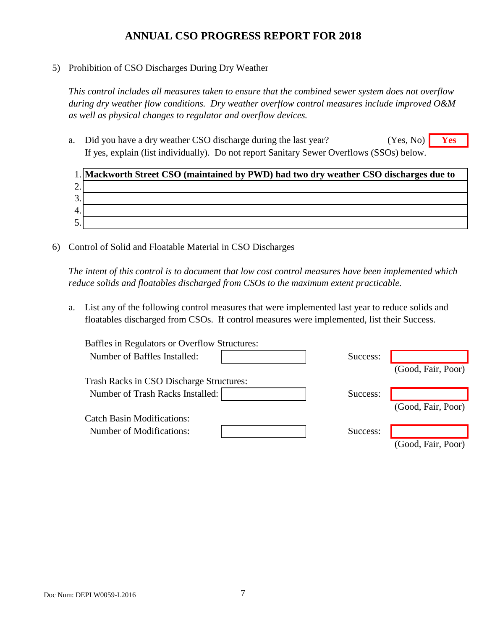5) Prohibition of CSO Discharges During Dry Weather

*This control includes all measures taken to ensure that the combined sewer system does not overflow during dry weather flow conditions. Dry weather overflow control measures include improved O&M as well as physical changes to regulator and overflow devices.*

a. Did you have a dry weather CSO discharge during the last year? **Yes** If yes, explain (list individually). Do not report Sanitary Sewer Overflows (SSOs) below. (Yes, No)

|    | 1. Mackworth Street CSO (maintained by PWD) had two dry weather CSO discharges due to |
|----|---------------------------------------------------------------------------------------|
| ۷. |                                                                                       |
| 3. |                                                                                       |
| 4. |                                                                                       |
| 5. |                                                                                       |

6) Control of Solid and Floatable Material in CSO Discharges

*The intent of this control is to document that low cost control measures have been implemented which reduce solids and floatables discharged from CSOs to the maximum extent practicable.*

a. List any of the following control measures that were implemented last year to reduce solids and floatables discharged from CSOs. If control measures were implemented, list their Success.

| Baffles in Regulators or Overflow Structures: |          |                    |
|-----------------------------------------------|----------|--------------------|
| Number of Baffles Installed:                  | Success: |                    |
|                                               |          | (Good, Fair, Poor) |
| Trash Racks in CSO Discharge Structures:      |          |                    |
| Number of Trash Racks Installed:              | Success: |                    |
|                                               |          | (Good, Fair, Poor) |
| <b>Catch Basin Modifications:</b>             |          |                    |
| <b>Number of Modifications:</b>               | Success: |                    |
|                                               |          | (Good, Fair, Poor) |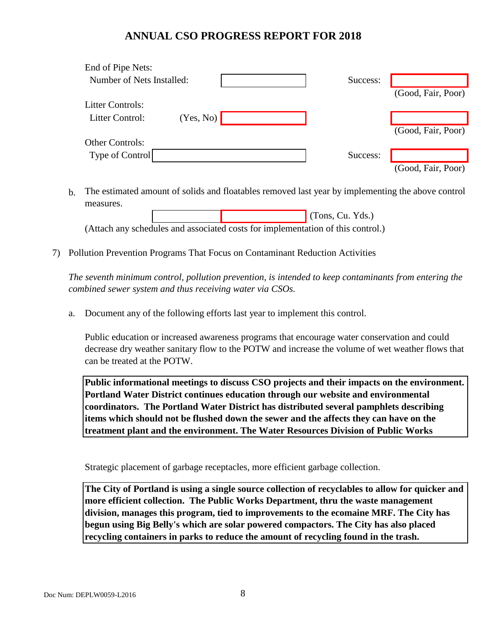| End of Pipe Nets:         |           |          |                    |
|---------------------------|-----------|----------|--------------------|
| Number of Nets Installed: |           | Success: |                    |
|                           |           |          | (Good, Fair, Poor) |
| <b>Litter Controls:</b>   |           |          |                    |
| Litter Control:           | (Yes, No) |          |                    |
|                           |           |          | (Good, Fair, Poor) |
| <b>Other Controls:</b>    |           |          |                    |
| Type of Control           |           | Success: |                    |
|                           |           |          | (Good, Fair, Poor) |

b. The estimated amount of solids and floatables removed last year by implementing the above control measures.

 (Tons, Cu. Yds.) (Attach any schedules and associated costs for implementation of this control.)

7) Pollution Prevention Programs That Focus on Contaminant Reduction Activities

*The seventh minimum control, pollution prevention, is intended to keep contaminants from entering the combined sewer system and thus receiving water via CSOs.*

a. Document any of the following efforts last year to implement this control.

Public education or increased awareness programs that encourage water conservation and could decrease dry weather sanitary flow to the POTW and increase the volume of wet weather flows that can be treated at the POTW.

**Public informational meetings to discuss CSO projects and their impacts on the environment. Portland Water District continues education through our website and environmental coordinators. The Portland Water District has distributed several pamphlets describing items which should not be flushed down the sewer and the affects they can have on the treatment plant and the environment. The Water Resources Division of Public Works** 

Strategic placement of garbage receptacles, more efficient garbage collection.

**The City of Portland is using a single source collection of recyclables to allow for quicker and more efficient collection. The Public Works Department, thru the waste management division, manages this program, tied to improvements to the ecomaine MRF. The City has begun using Big Belly's which are solar powered compactors. The City has also placed recycling containers in parks to reduce the amount of recycling found in the trash.**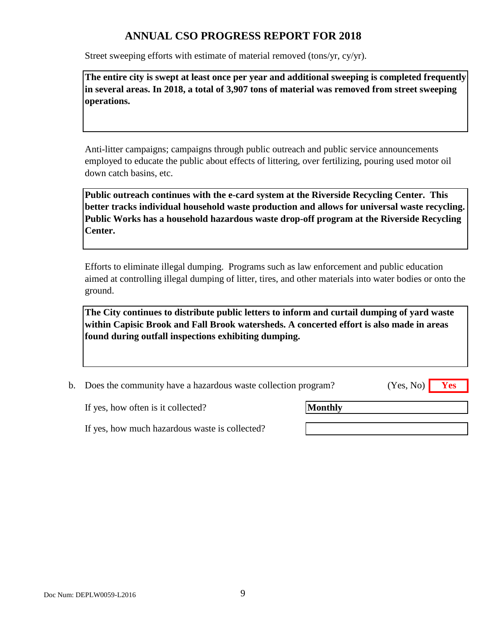Street sweeping efforts with estimate of material removed (tons/yr, cy/yr).

**The entire city is swept at least once per year and additional sweeping is completed frequently in several areas. In 2018, a total of 3,907 tons of material was removed from street sweeping operations.**

Anti-litter campaigns; campaigns through public outreach and public service announcements employed to educate the public about effects of littering, over fertilizing, pouring used motor oil down catch basins, etc.

**Public outreach continues with the e-card system at the Riverside Recycling Center. This better tracks individual household waste production and allows for universal waste recycling. Public Works has a household hazardous waste drop-off program at the Riverside Recycling Center.**

Efforts to eliminate illegal dumping. Programs such as law enforcement and public education aimed at controlling illegal dumping of litter, tires, and other materials into water bodies or onto the ground.

**The City continues to distribute public letters to inform and curtail dumping of yard waste within Capisic Brook and Fall Brook watersheds. A concerted effort is also made in areas found during outfall inspections exhibiting dumping.** 

b. Does the community have a hazardous waste collection program? **Yes** (Yes, No)

If yes, how often is it collected?

**Monthly**

If yes, how much hazardous waste is collected?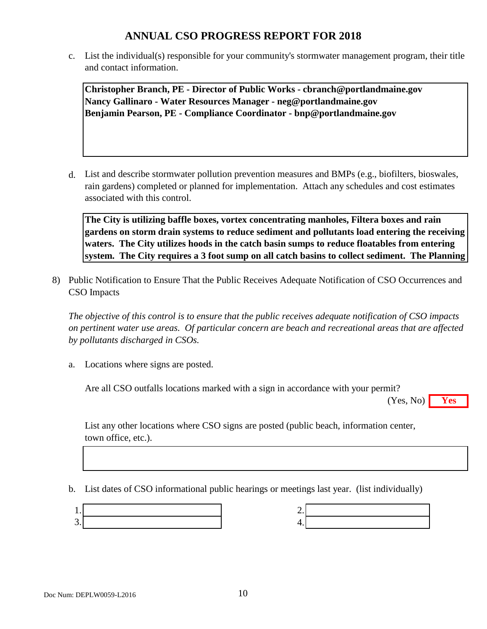c. List the individual(s) responsible for your community's stormwater management program, their title and contact information.

**Christopher Branch, PE - Director of Public Works - cbranch@portlandmaine.gov Nancy Gallinaro - Water Resources Manager - neg@portlandmaine.gov Benjamin Pearson, PE - Compliance Coordinator - bnp@portlandmaine.gov**

d. List and describe stormwater pollution prevention measures and BMPs (e.g., biofilters, bioswales, rain gardens) completed or planned for implementation. Attach any schedules and cost estimates associated with this control.

**The City is utilizing baffle boxes, vortex concentrating manholes, Filtera boxes and rain gardens on storm drain systems to reduce sediment and pollutants load entering the receiving waters. The City utilizes hoods in the catch basin sumps to reduce floatables from entering system. The City requires a 3 foot sump on all catch basins to collect sediment. The Planning** 

8) Public Notification to Ensure That the Public Receives Adequate Notification of CSO Occurrences and CSO Impacts

*The objective of this control is to ensure that the public receives adequate notification of CSO impacts on pertinent water use areas. Of particular concern are beach and recreational areas that are affected by pollutants discharged in CSOs.*

a. Locations where signs are posted.

Are all CSO outfalls locations marked with a sign in accordance with your permit?

**Yes** (Yes, No)

List any other locations where CSO signs are posted (public beach, information center, town office, etc.).

b. List dates of CSO informational public hearings or meetings last year. (list individually)

| ╭  |  |
|----|--|
| т. |  |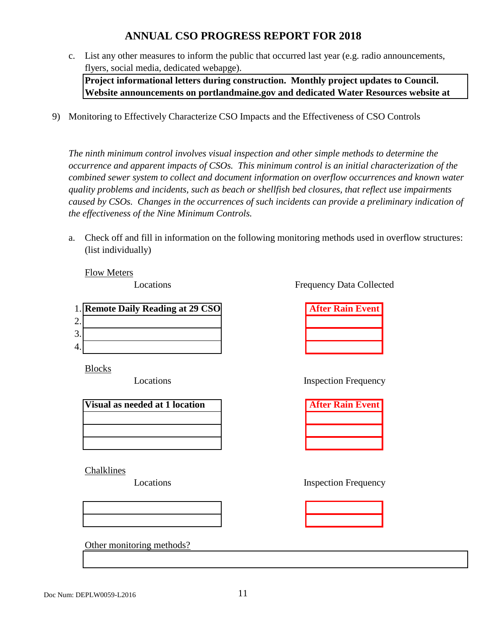c. List any other measures to inform the public that occurred last year (e.g. radio announcements, flyers, social media, dedicated webapge).

**Project informational letters during construction. Monthly project updates to Council. Website announcements on portlandmaine.gov and dedicated Water Resources website at** 

9) Monitoring to Effectively Characterize CSO Impacts and the Effectiveness of CSO Controls

*The ninth minimum control involves visual inspection and other simple methods to determine the occurrence and apparent impacts of CSOs. This minimum control is an initial characterization of the combined sewer system to collect and document information on overflow occurrences and known water quality problems and incidents, such as beach or shellfish bed closures, that reflect use impairments caused by CSOs. Changes in the occurrences of such incidents can provide a preliminary indication of the effectiveness of the Nine Minimum Controls.*

a. Check off and fill in information on the following monitoring methods used in overflow structures: (list individually)

Flow Meters

Locations

|         | 1. Remote Daily Reading at 29 CSO | <b>After Rain Event</b> |
|---------|-----------------------------------|-------------------------|
| ⌒       |                                   |                         |
| 2<br>J. |                                   |                         |
| 4.      |                                   |                         |

Blocks

Locations

| Visual as needed at 1 location |  |
|--------------------------------|--|
|                                |  |
|                                |  |
|                                |  |

Chalklines

Locations



Other monitoring methods?

Frequency Data Collected

| <b>After Rain Event</b> |  |
|-------------------------|--|
|                         |  |
|                         |  |
|                         |  |

Inspection Frequency

| <b>After Rain Event</b> |  |  |
|-------------------------|--|--|
|                         |  |  |
|                         |  |  |
|                         |  |  |

Inspection Frequency

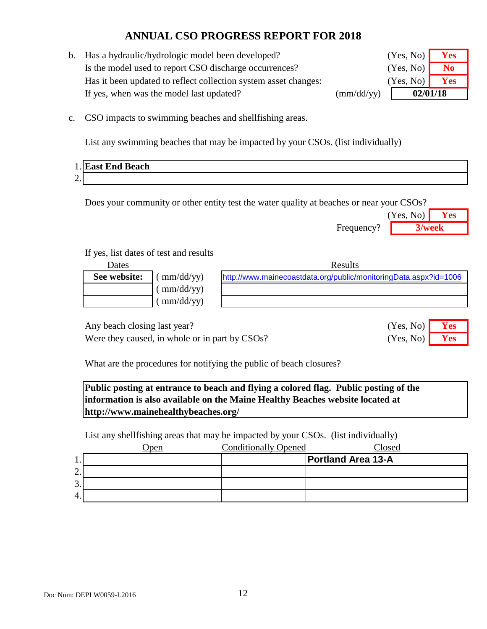b. Has a hydraulic/hydrologic model been developed? Is the model used to report CSO discharge occurrences? **No** Has it been updated to reflect collection system asset changes: If yes, when was the model last updated? (mm/dd/yy)

| (Yes, No) | <b>Yes</b> |  |
|-----------|------------|--|
| (Yes, No) | No         |  |
| (Yes, No) | <b>Yes</b> |  |
| 02/01/18  |            |  |

c. CSO impacts to swimming beaches and shellfishing areas.

List any swimming beaches that may be impacted by your CSOs. (list individually)

|                        | 1. East End Beach |
|------------------------|-------------------|
| $\Omega$<br><u>L</u> . |                   |

Does your community or other entity test the water quality at beaches or near your CSOs?

|            | (Yes, No) | Y es |
|------------|-----------|------|
| Frequency? | 3/week    |      |

(Yes, No) (Yes, No)

#### If yes, list dates of test and results

| Dates        |                                 | Results                                                          |
|--------------|---------------------------------|------------------------------------------------------------------|
| See website: | mm/dd/yy)                       | http://www.mainecoastdata.org/public/monitoringData.aspx?id=1006 |
|              | $\text{mm}/\text{dd}/\text{yy}$ |                                                                  |
|              | $\text{mm}/\text{dd}/\text{yy}$ |                                                                  |
|              |                                 |                                                                  |

Any beach closing last year? **Yes** No. 2014

Were they caused, in whole or in part by CSOs? (Yes, No) **Yes** 

What are the procedures for notifying the public of beach closures?

**Public posting at entrance to beach and flying a colored flag. Public posting of the information is also available on the Maine Healthy Beaches website located at http://www.mainehealthybeaches.org/** 

List any shellfishing areas that may be impacted by your CSOs. (list individually)

|         | pen | <b>Conditionally Opened</b> | Closed                    |
|---------|-----|-----------------------------|---------------------------|
| . .     |     |                             | <b>Portland Area 13-A</b> |
| ⌒<br>٠. |     |                             |                           |
| 3.      |     |                             |                           |
| 4.      |     |                             |                           |